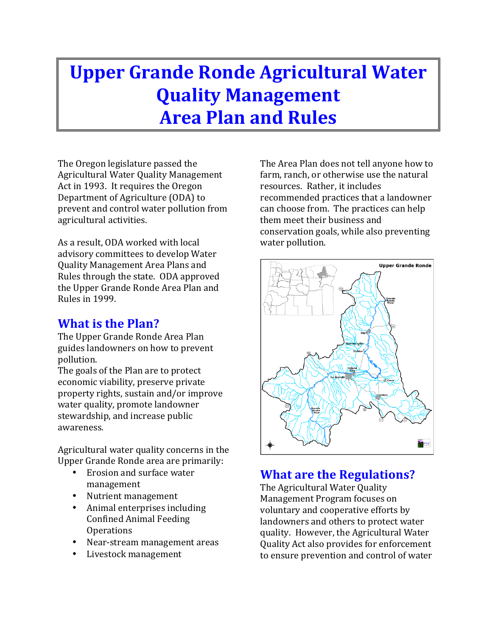# **Upper Grande Ronde Agricultural Water Quality Management Area Plan and Rules**

The Oregon legislature passed the Agricultural Water Quality Management Act in 1993. It requires the Oregon Department of Agriculture (ODA) to prevent and control water pollution from agricultural activities.

As a result, ODA worked with local advisory committees to develop Water Quality Management Area Plans and Rules through the state. ODA approved the Upper Grande Ronde Area Plan and Rules in 1999.

## **What is the Plan?**

The Upper Grande Ronde Area Plan guides landowners on how to prevent pollution. 

The goals of the Plan are to protect economic viability, preserve private property rights, sustain and/or improve water quality, promote landowner stewardship, and increase public awareness.

Agricultural water quality concerns in the Upper Grande Ronde area are primarily:

- Erosion and surface water management
- Nutrient management
- Animal enterprises including Confined Animal Feeding **Operations**
- Near-stream management areas
- Livestock management

The Area Plan does not tell anyone how to farm, ranch, or otherwise use the natural resources. Rather, it includes recommended practices that a landowner can choose from. The practices can help them meet their business and conservation goals, while also preventing water pollution.



# **What are the Regulations?**

The Agricultural Water Ouality Management Program focuses on voluntary and cooperative efforts by landowners and others to protect water quality. However, the Agricultural Water Quality Act also provides for enforcement to ensure prevention and control of water